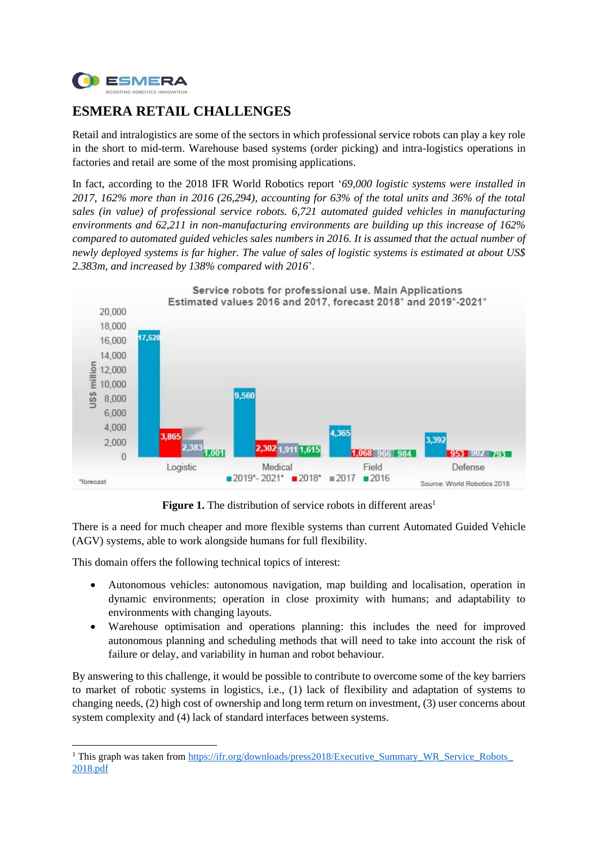

## **ESMERA RETAIL CHALLENGES**

Retail and intralogistics are some of the sectors in which professional service robots can play a key role in the short to mid-term. Warehouse based systems (order picking) and intra-logistics operations in factories and retail are some of the most promising applications.

In fact, according to the 2018 IFR World Robotics report '*69,000 logistic systems were installed in 2017, 162% more than in 2016 (26,294), accounting for 63% of the total units and 36% of the total sales (in value) of professional service robots. 6,721 automated guided vehicles in manufacturing environments and 62,211 in non-manufacturing environments are building up this increase of 162% compared to automated guided vehicles sales numbers in 2016. It is assumed that the actual number of newly deployed systems is far higher. The value of sales of logistic systems is estimated at about US\$ 2.383m, and increased by 138% compared with 2016*'.



**Figure 1.** The distribution of service robots in different areas<sup>1</sup>

There is a need for much cheaper and more flexible systems than current Automated Guided Vehicle (AGV) systems, able to work alongside humans for full flexibility.

This domain offers the following technical topics of interest:

- Autonomous vehicles: autonomous navigation, map building and localisation, operation in dynamic environments; operation in close proximity with humans; and adaptability to environments with changing layouts.
- Warehouse optimisation and operations planning: this includes the need for improved autonomous planning and scheduling methods that will need to take into account the risk of failure or delay, and variability in human and robot behaviour.

By answering to this challenge, it would be possible to contribute to overcome some of the key barriers to market of robotic systems in logistics, i.e., (1) lack of flexibility and adaptation of systems to changing needs, (2) high cost of ownership and long term return on investment, (3) user concerns about system complexity and (4) lack of standard interfaces between systems.

<sup>&</sup>lt;sup>1</sup> This graph was taken from https://ifr.org/downloads/press2018/Executive\_Summary\_WR\_Service\_Robots [2018.pdf](https://ifr.org/downloads/press2018/Executive_Summary_WR_Service_Robots_%202018.pdf)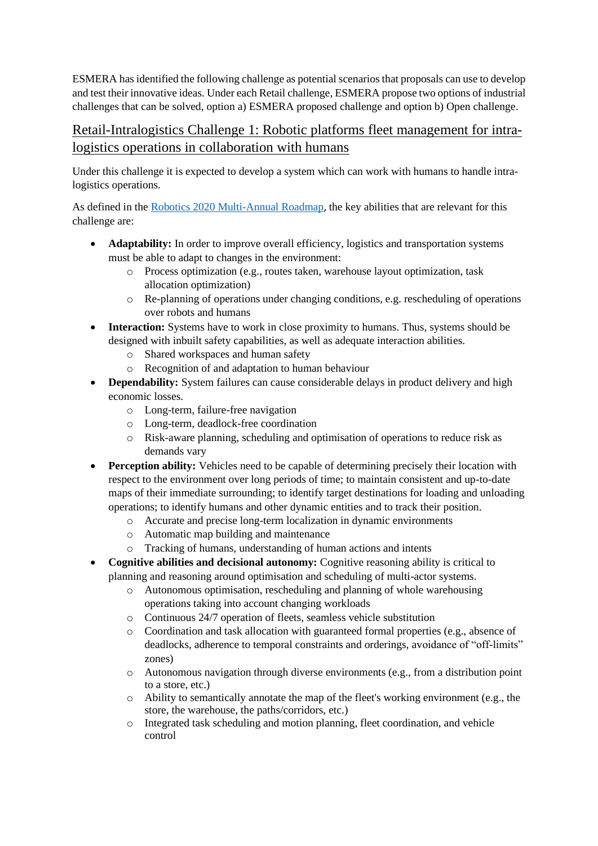ESMERA has identified the following challenge as potential scenarios that proposals can use to develop and test their innovative ideas. Under each Retail challenge, ESMERA propose two options of industrial challenges that can be solved, option a) ESMERA proposed challenge and option b) Open challenge.

## Retail-Intralogistics Challenge 1: Robotic platforms fleet management for intralogistics operations in collaboration with humans

Under this challenge it is expected to develop a system which can work with humans to handle intralogistics operations.

As defined in the [Robotics 2020 Multi-Annual Roadmap](https://www.eu-robotics.net/cms/upload/topic_groups/H2020_Robotics_Multi-Annual_Roadmap_ICT-2017B.pdf), the key abilities that are relevant for this challenge are:

- **Adaptability:** In order to improve overall efficiency, logistics and transportation systems must be able to adapt to changes in the environment:
	- o Process optimization (e.g., routes taken, warehouse layout optimization, task allocation optimization)
	- $\circ$  Re-planning of operations under changing conditions, e.g. rescheduling of operations over robots and humans
- **Interaction:** Systems have to work in close proximity to humans. Thus, systems should be designed with inbuilt safety capabilities, as well as adequate interaction abilities.
	- o Shared workspaces and human safety
	- o Recognition of and adaptation to human behaviour
- **Dependability:** System failures can cause considerable delays in product delivery and high economic losses.
	- o Long-term, failure-free navigation
	- o Long-term, deadlock-free coordination
	- o Risk-aware planning, scheduling and optimisation of operations to reduce risk as demands vary
- **Perception ability:** Vehicles need to be capable of determining precisely their location with respect to the environment over long periods of time; to maintain consistent and up-to-date maps of their immediate surrounding; to identify target destinations for loading and unloading operations; to identify humans and other dynamic entities and to track their position.
	- o Accurate and precise long-term localization in dynamic environments
	- o Automatic map building and maintenance
	- o Tracking of humans, understanding of human actions and intents
- **Cognitive abilities and decisional autonomy:** Cognitive reasoning ability is critical to planning and reasoning around optimisation and scheduling of multi-actor systems.
	- o Autonomous optimisation, rescheduling and planning of whole warehousing operations taking into account changing workloads
	- o Continuous 24/7 operation of fleets, seamless vehicle substitution
	- o Coordination and task allocation with guaranteed formal properties (e.g., absence of deadlocks, adherence to temporal constraints and orderings, avoidance of "off-limits" zones)
	- o Autonomous navigation through diverse environments (e.g., from a distribution point to a store, etc.)
	- o Ability to semantically annotate the map of the fleet's working environment (e.g., the store, the warehouse, the paths/corridors, etc.)
	- o Integrated task scheduling and motion planning, fleet coordination, and vehicle control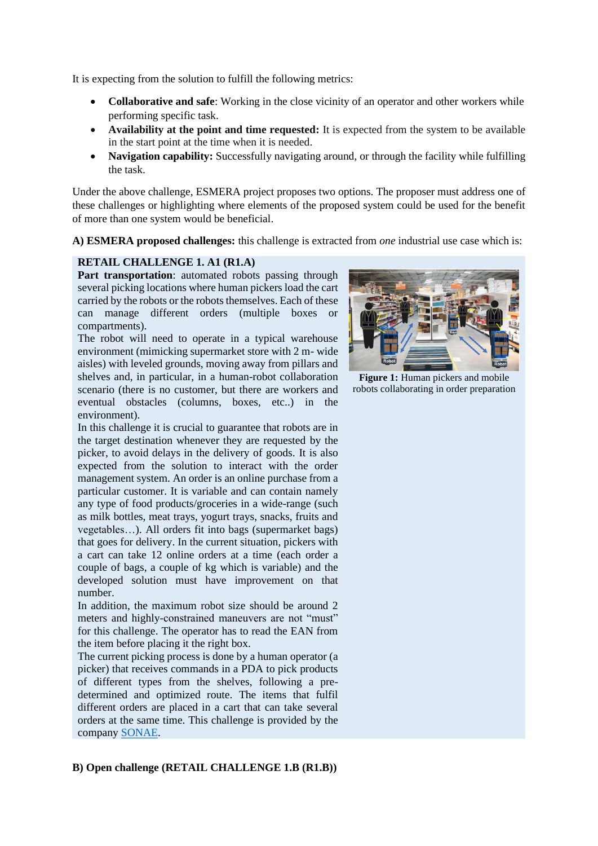It is expecting from the solution to fulfill the following metrics:

- **Collaborative and safe**: Working in the close vicinity of an operator and other workers while performing specific task.
- **Availability at the point and time requested:** It is expected from the system to be available in the start point at the time when it is needed.
- **Navigation capability:** Successfully navigating around, or through the facility while fulfilling the task.

Under the above challenge, ESMERA project proposes two options. The proposer must address one of these challenges or highlighting where elements of the proposed system could be used for the benefit of more than one system would be beneficial.

**A) ESMERA proposed challenges:** this challenge is extracted from *one* industrial use case which is:

## **RETAIL CHALLENGE 1. A1 (R1.A)**

Part transportation: automated robots passing through several picking locations where human pickers load the cart carried by the robots or the robots themselves. Each of these can manage different orders (multiple boxes or compartments).

The robot will need to operate in a typical warehouse environment (mimicking supermarket store with 2 m- wide aisles) with leveled grounds, moving away from pillars and shelves and, in particular, in a human-robot collaboration scenario (there is no customer, but there are workers and eventual obstacles (columns, boxes, etc..) in the environment).

In this challenge it is crucial to guarantee that robots are in the target destination whenever they are requested by the picker, to avoid delays in the delivery of goods. It is also expected from the solution to interact with the order management system. An order is an online purchase from a particular customer. It is variable and can contain namely any type of food products/groceries in a wide-range (such as milk bottles, meat trays, yogurt trays, snacks, fruits and vegetables…). All orders fit into bags (supermarket bags) that goes for delivery. In the current situation, pickers with a cart can take 12 online orders at a time (each order a couple of bags, a couple of kg which is variable) and the developed solution must have improvement on that number.

In addition, the maximum robot size should be around 2 meters and highly-constrained maneuvers are not "must" for this challenge. The operator has to read the EAN from the item before placing it the right box.

The current picking process is done by a human operator (a picker) that receives commands in a PDA to pick products of different types from the shelves, following a predetermined and optimized route. The items that fulfil different orders are placed in a cart that can take several orders at the same time. This challenge is provided by the company [SONAE.](https://www.sonae.pt/en/)



**Figure 1:** Human pickers and mobile robots collaborating in order preparation

## **B) Open challenge (RETAIL CHALLENGE 1.B (R1.B))**